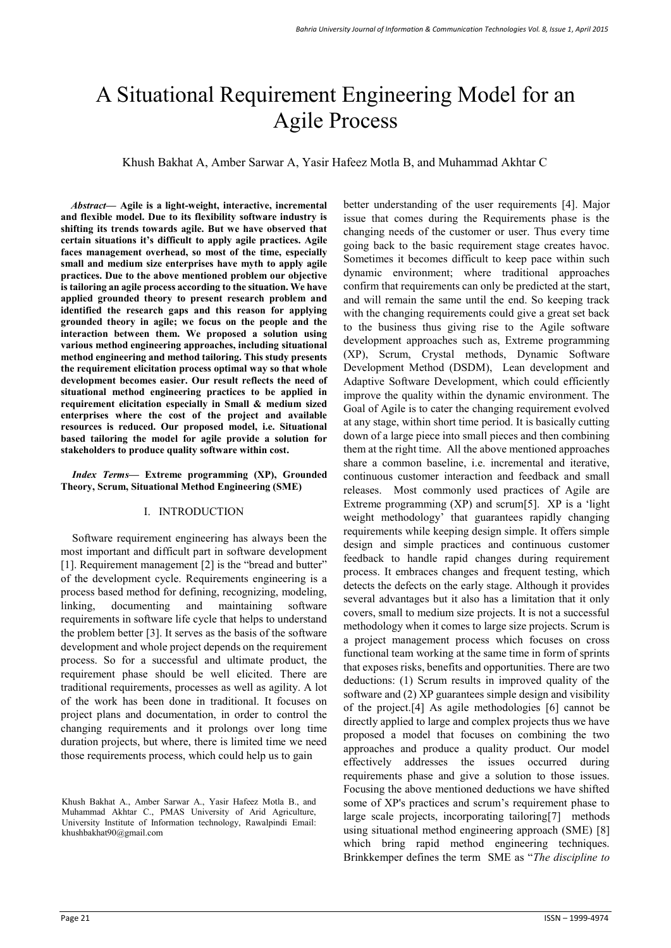# A Situational Requirement Engineering Model for an Agile Process

Khush Bakhat A, Amber Sarwar A, Yasir Hafeez Motla B, and Muhammad Akhtar C

*Abstract***— Agile is a light-weight, interactive, incremental and flexible model. Due to its flexibility software industry is shifting its trends towards agile. But we have observed that certain situations it's difficult to apply agile practices. Agile faces management overhead, so most of the time, especially small and medium size enterprises have myth to apply agile practices. Due to the above mentioned problem our objective is tailoring an agile process according to the situation. We have applied grounded theory to present research problem and identified the research gaps and this reason for applying grounded theory in agile; we focus on the people and the interaction between them. We proposed a solution using various method engineering approaches, including situational method engineering and method tailoring. This study presents the requirement elicitation process optimal way so that whole development becomes easier. Our result reflects the need of situational method engineering practices to be applied in requirement elicitation especially in Small & medium sized enterprises where the cost of the project and available resources is reduced. Our proposed model, i.e. Situational based tailoring the model for agile provide a solution for stakeholders to produce quality software within cost.**

*Index Terms***— Extreme programming (XP), Grounded Theory, Scrum, Situational Method Engineering (SME)** 

## I. INTRODUCTION

Software requirement engineering has always been the most important and difficult part in software development [1]. Requirement management [2] is the "bread and butter" of the development cycle. Requirements engineering is a process based method for defining, recognizing, modeling, linking, documenting and maintaining software requirements in software life cycle that helps to understand the problem better [3]. It serves as the basis of the software development and whole project depends on the requirement process. So for a successful and ultimate product, the requirement phase should be well elicited. There are traditional requirements, processes as well as agility. A lot of the work has been done in traditional. It focuses on project plans and documentation, in order to control the changing requirements and it prolongs over long time duration projects, but where, there is limited time we need those requirements process, which could help us to gain

better understanding of the user requirements [4]. Major issue that comes during the Requirements phase is the changing needs of the customer or user. Thus every time going back to the basic requirement stage creates havoc. Sometimes it becomes difficult to keep pace within such dynamic environment; where traditional approaches confirm that requirements can only be predicted at the start, and will remain the same until the end. So keeping track with the changing requirements could give a great set back to the business thus giving rise to the Agile software development approaches such as, Extreme programming (XP), Scrum, Crystal methods, Dynamic Software Development Method (DSDM), Lean development and Adaptive Software Development, which could efficiently improve the quality within the dynamic environment. The Goal of Agile is to cater the changing requirement evolved at any stage, within short time period. It is basically cutting down of a large piece into small pieces and then combining them at the right time. All the above mentioned approaches share a common baseline, i.e. incremental and iterative, continuous customer interaction and feedback and small releases. Most commonly used practices of Agile are Extreme programming  $(XP)$  and scrum[5].  $XP$  is a 'light weight methodology' that guarantees rapidly changing requirements while keeping design simple. It offers simple design and simple practices and continuous customer feedback to handle rapid changes during requirement process. It embraces changes and frequent testing, which detects the defects on the early stage. Although it provides several advantages but it also has a limitation that it only covers, small to medium size projects. It is not a successful methodology when it comes to large size projects. Scrum is a project management process which focuses on cross functional team working at the same time in form of sprints that exposes risks, benefits and opportunities. There are two deductions: (1) Scrum results in improved quality of the software and (2) XP guarantees simple design and visibility of the project.[4] As agile methodologies [6] cannot be directly applied to large and complex projects thus we have proposed a model that focuses on combining the two approaches and produce a quality product. Our model effectively addresses the issues occurred during requirements phase and give a solution to those issues. Focusing the above mentioned deductions we have shifted some of XP's practices and scrum's requirement phase to large scale projects, incorporating tailoring[7] methods using situational method engineering approach (SME) [8] which bring rapid method engineering techniques. Brinkkemper defines the term SME as "*The discipline to* 

Khush Bakhat A., Amber Sarwar A., Yasir Hafeez Motla B., and Muhammad Akhtar C., PMAS University of Arid Agriculture, University Institute of Information technology, Rawalpindi Email: khushbakhat90@gmail.com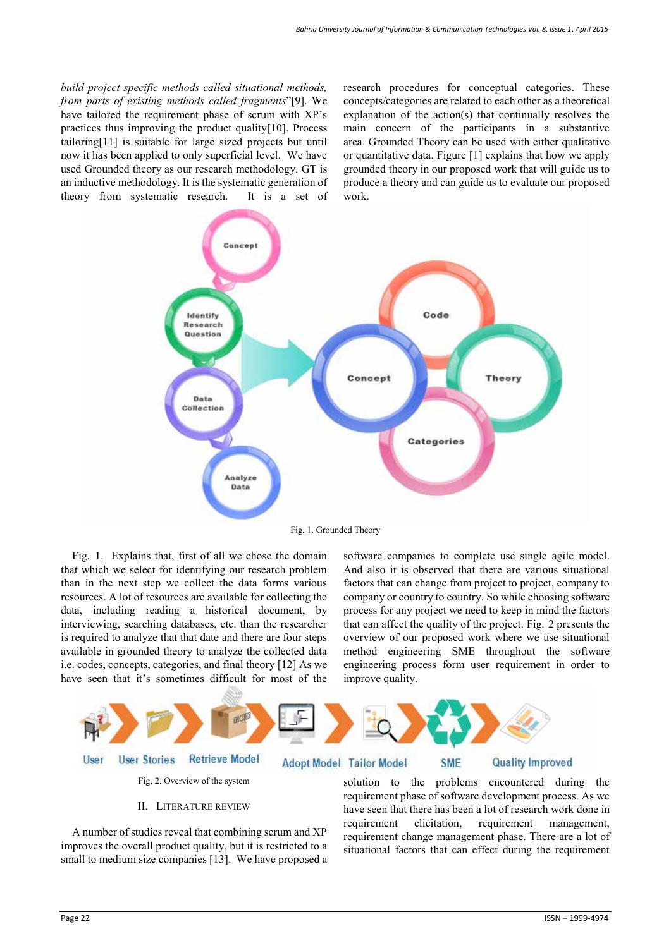*build project specific methods called situational methods, from parts of existing methods called fragments*"[9]. We have tailored the requirement phase of scrum with XP's practices thus improving the product quality[10]. Process tailoring[11] is suitable for large sized projects but until now it has been applied to only superficial level. We have used Grounded theory as our research methodology. GT is an inductive methodology. It is the systematic generation of theory from systematic research. It is a set of research procedures for conceptual categories. These concepts/categories are related to each other as a theoretical explanation of the action(s) that continually resolves the main concern of the participants in a substantive area. Grounded Theory can be used with either qualitative or quantitative data. Figure [1] explains that how we apply grounded theory in our proposed work that will guide us to produce a theory and can guide us to evaluate our proposed work.



Fig. 1. Grounded Theory

Fig. 1. Explains that, first of all we chose the domain that which we select for identifying our research problem than in the next step we collect the data forms various resources. A lot of resources are available for collecting the data, including reading a historical document, by interviewing, searching databases, etc. than the researcher is required to analyze that that date and there are four steps available in grounded theory to analyze the collected data i.e. codes, concepts, categories, and final theory [12] As we have seen that it's sometimes difficult for most of the software companies to complete use single agile model. And also it is observed that there are various situational factors that can change from project to project, company to company or country to country. So while choosing software process for any project we need to keep in mind the factors that can affect the quality of the project. Fig. 2 presents the overview of our proposed work where we use situational method engineering SME throughout the software engineering process form user requirement in order to improve quality.



## II. LITERATURE REVIEW

A number of studies reveal that combining scrum and XP improves the overall product quality, but it is restricted to a small to medium size companies [13]. We have proposed a solution to the problems encountered during the requirement phase of software development process. As we have seen that there has been a lot of research work done in requirement elicitation, requirement management, requirement change management phase. There are a lot of situational factors that can effect during the requirement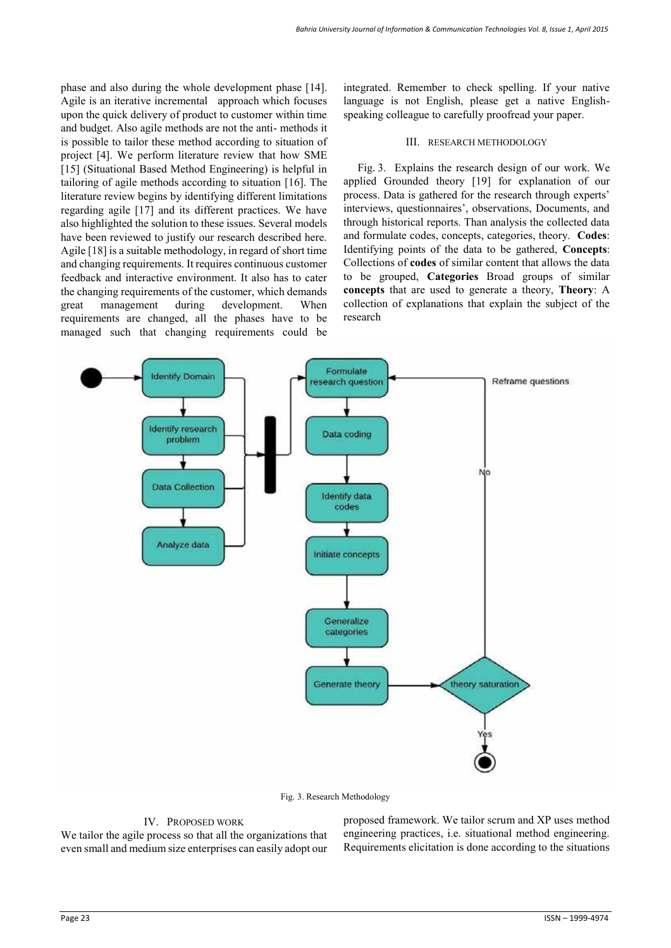phase and also during the whole development phase [14]. Agile is an iterative incremental approach which focuses upon the quick delivery of product to customer within time and budget. Also agile methods are not the anti- methods it is possible to tailor these method according to situation of project [4]. We perform literature review that how SME [15] (Situational Based Method Engineering) is helpful in tailoring of agile methods according to situation [16]. The literature review begins by identifying different limitations regarding agile [17] and its different practices. We have also highlighted the solution to these issues. Several models have been reviewed to justify our research described here. Agile [18] is a suitable methodology, in regard of short time and changing requirements. It requires continuous customer feedback and interactive environment. It also has to cater the changing requirements of the customer, which demands great management during development. When requirements are changed, all the phases have to be managed such that changing requirements could be

integrated. Remember to check spelling. If your native language is not English, please get a native Englishspeaking colleague to carefully proofread your paper.

#### III. RESEARCH METHODOLOGY

Fig. 3. Explains the research design of our work. We applied Grounded theory [19] for explanation of our process. Data is gathered for the research through experts' interviews, questionnaires', observations, Documents, and through historical reports. Than analysis the collected data and formulate codes, concepts, categories, theory. **Codes**: Identifying points of the data to be gathered, **Concepts**: Collections of **codes** of similar content that allows the data to be grouped, **Categories** Broad groups of similar **concepts** that are used to generate a theory, **Theory**: A collection of explanations that explain the subject of the research



Fig. 3. Research Methodology

### IV. PROPOSED WORK

We tailor the agile process so that all the organizations that even small and medium size enterprises can easily adopt our proposed framework. We tailor scrum and XP uses method engineering practices, i.e. situational method engineering. Requirements elicitation is done according to the situations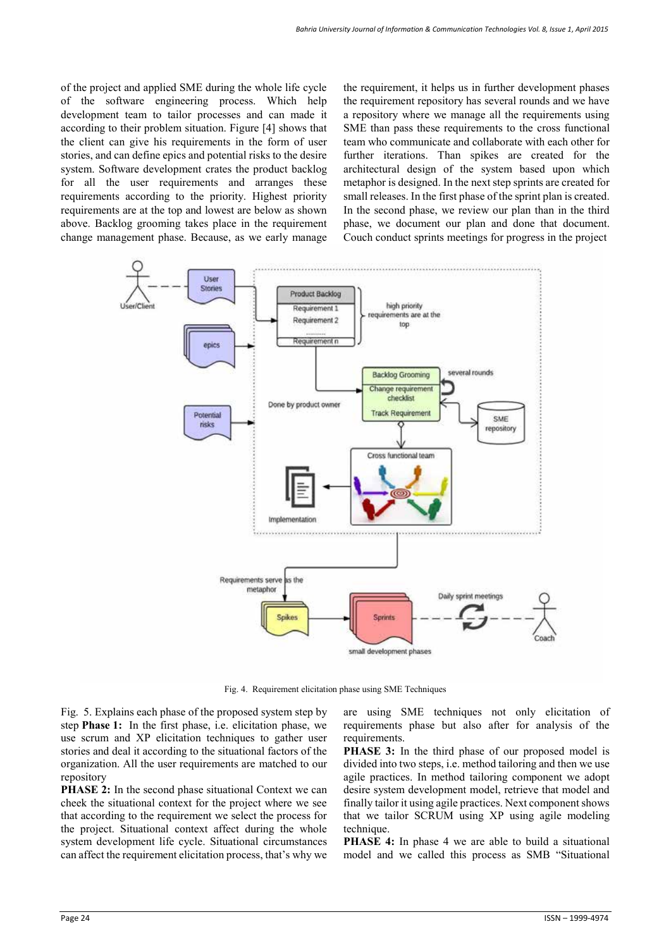of the project and applied SME during the whole life cycle of the software engineering process. Which help development team to tailor processes and can made it according to their problem situation. Figure [4] shows that the client can give his requirements in the form of user stories, and can define epics and potential risks to the desire system. Software development crates the product backlog for all the user requirements and arranges these requirements according to the priority. Highest priority requirements are at the top and lowest are below as shown above. Backlog grooming takes place in the requirement change management phase. Because, as we early manage

the requirement, it helps us in further development phases the requirement repository has several rounds and we have a repository where we manage all the requirements using SME than pass these requirements to the cross functional team who communicate and collaborate with each other for further iterations. Than spikes are created for the architectural design of the system based upon which metaphor is designed. In the next step sprints are created for small releases. In the first phase of the sprint plan is created. In the second phase, we review our plan than in the third phase, we document our plan and done that document. Couch conduct sprints meetings for progress in the project



Fig. 4. Requirement elicitation phase using SME Techniques

Fig. 5. Explains each phase of the proposed system step by step **Phase 1:** In the first phase, i.e. elicitation phase, we use scrum and XP elicitation techniques to gather user stories and deal it according to the situational factors of the organization. All the user requirements are matched to our repository

**PHASE 2:** In the second phase situational Context we can cheek the situational context for the project where we see that according to the requirement we select the process for the project. Situational context affect during the whole system development life cycle. Situational circumstances can affect the requirement elicitation process, that's why we are using SME techniques not only elicitation of requirements phase but also after for analysis of the requirements.

**PHASE 3:** In the third phase of our proposed model is divided into two steps, i.e. method tailoring and then we use agile practices. In method tailoring component we adopt desire system development model, retrieve that model and finally tailor it using agile practices. Next component shows that we tailor SCRUM using XP using agile modeling technique.

**PHASE 4:** In phase 4 we are able to build a situational model and we called this process as SMB "Situational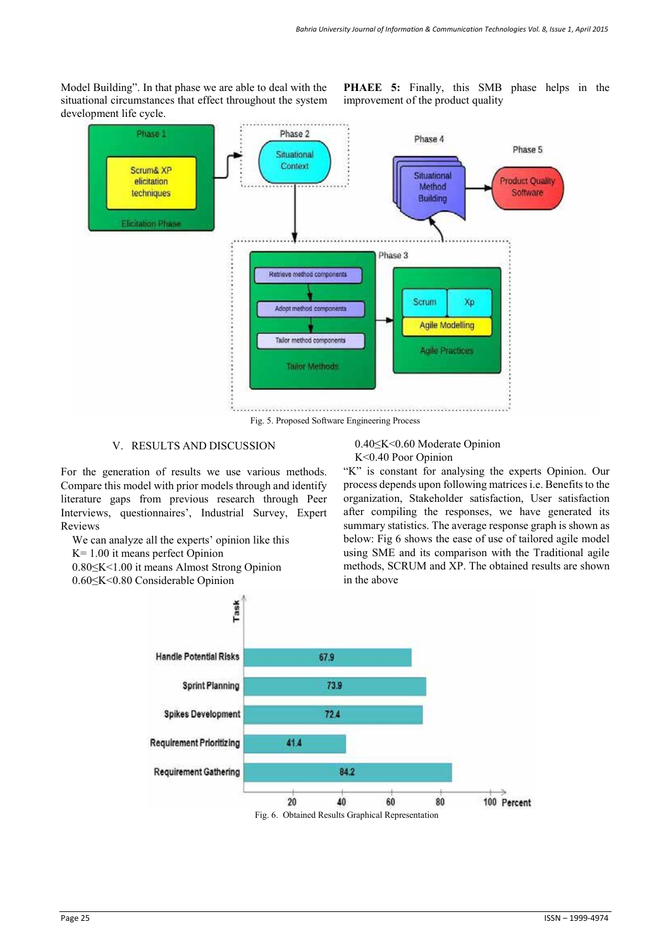Model Building". In that phase we are able to deal with the situational circumstances that effect throughout the system development life cycle.

**PHAEE 5:** Finally, this SMB phase helps in the improvement of the product quality



Fig. 5. Proposed Software Engineering Process

## V. RESULTS AND DISCUSSION

For the generation of results we use various methods. Compare this model with prior models through and identify literature gaps from previous research through Peer Interviews, questionnaires', Industrial Survey, Expert Reviews

We can analyze all the experts' opinion like this K= 1.00 it means perfect Opinion

- 0.80≤K<1.00 it means Almost Strong Opinion
- 0.60≤K<0.80 Considerable Opinion

0.40≤K<0.60 Moderate Opinion K<0.40 Poor Opinion

"K" is constant for analysing the experts Opinion. Our process depends upon following matrices i.e. Benefits to the organization, Stakeholder satisfaction, User satisfaction after compiling the responses, we have generated its summary statistics. The average response graph is shown as below: Fig 6 shows the ease of use of tailored agile model using SME and its comparison with the Traditional agile methods, SCRUM and XP. The obtained results are shown in the above